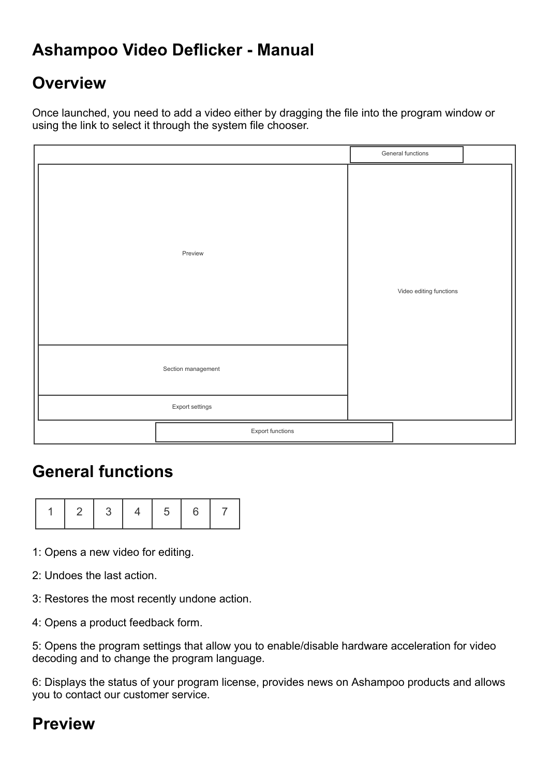# **Ashampoo Video Deflicker - Manual**

# **Overview**

Once launched, you need to add a video either by dragging the file into the program window or using the link to select it through the system file chooser.

|                    |                  |  | General functions       |  |
|--------------------|------------------|--|-------------------------|--|
|                    | Preview          |  | Video editing functions |  |
| Section management |                  |  |                         |  |
| Export settings    |                  |  |                         |  |
|                    | Export functions |  |                         |  |

## **General functions**

|--|--|--|--|--|--|

- 1: Opens a new video for editing.
- 2: Undoes the last action.
- 3: Restores the most recently undone action.
- 4: Opens a product feedback form.

5: Opens the program settings that allow you to enable/disable hardware acceleration for video decoding and to change the program language.

6: Displays the status of your program license, provides news on Ashampoo products and allows you to contact our customer service.

## **Preview**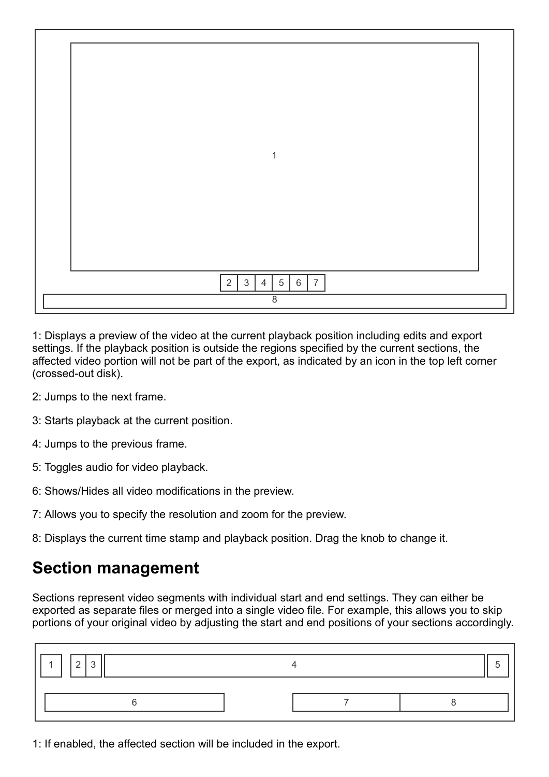|  | $\mathbf{1}$                                                  |  |  |  |  |
|--|---------------------------------------------------------------|--|--|--|--|
|  |                                                               |  |  |  |  |
|  |                                                               |  |  |  |  |
|  |                                                               |  |  |  |  |
|  |                                                               |  |  |  |  |
|  |                                                               |  |  |  |  |
|  |                                                               |  |  |  |  |
|  |                                                               |  |  |  |  |
|  | $\overline{2}$<br>$\sqrt{5}$<br>$\overline{7}$<br>3<br>6<br>4 |  |  |  |  |
|  | 8                                                             |  |  |  |  |

1: Displays a preview of the video at the current playback position including edits and export settings. If the playback position is outside the regions specified by the current sections, the affected video portion will not be part of the export, as indicated by an icon in the top left corner (crossed-out disk).

- 2: Jumps to the next frame.
- 3: Starts playback at the current position.
- 4: Jumps to the previous frame.
- 5: Toggles audio for video playback.
- 6: Shows/Hides all video modifications in the preview.
- 7: Allows you to specify the resolution and zoom for the preview.
- 8: Displays the current time stamp and playback position. Drag the knob to change it.

#### **Section management**

Sections represent video segments with individual start and end settings. They can either be exported as separate files or merged into a single video file. For example, this allows you to skip portions of your original video by adjusting the start and end positions of your sections accordingly.

1: If enabled, the affected section will be included in the export.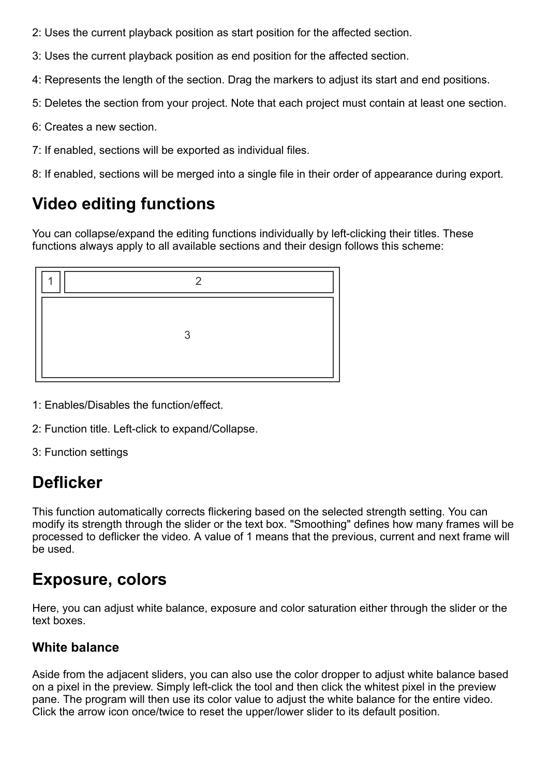- 2: Uses the current playback position as start position for the affected section.
- 3: Uses the current playback position as end position for the affected section.
- 4: Represents the length of the section. Drag the markers to adjust its start and end positions.
- 5: Deletes the section from your project. Note that each project must contain at least one section.
- 6: Creates a new section.
- 7: If enabled, sections will be exported as individual files.
- 8: If enabled, sections will be merged into a single file in their order of appearance during export.

# **Video editing functions**

You can collapse/expand the editing functions individually by left-clicking their titles. These functions always apply to all available sections and their design follows this scheme:



- 1: Enables/Disables the function/effect.
- 2: Function title. Left-click to expand/Collapse.
- 3: Function settings

# **Deflicker**

This function automatically corrects flickering based on the selected strength setting. You can modify its strength through the slider or the text box. "Smoothing" defines how many frames will be processed to deflicker the video. A value of 1 means that the previous, current and next frame will be used.

## **Exposure, colors**

Here, you can adjust white balance, exposure and color saturation either through the slider or the text boxes.

#### **White balance**

Aside from the adjacent sliders, you can also use the color dropper to adjust white balance based on a pixel in the preview. Simply left-click the tool and then click the whitest pixel in the preview pane. The program will then use its color value to adjust the white balance for the entire video. Click the arrow icon once/twice to reset the upper/lower slider to its default position.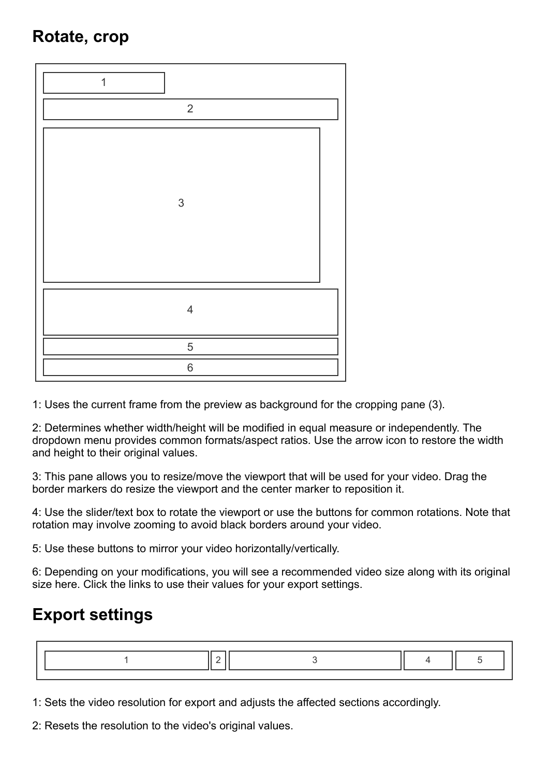# **Rotate, crop**



1: Uses the current frame from the preview as background for the cropping pane (3).

2: Determines whether width/height will be modified in equal measure or independently. The dropdown menu provides common formats/aspect ratios. Use the arrow icon to restore the width and height to their original values.

3: This pane allows you to resize/move the viewport that will be used for your video. Drag the border markers do resize the viewport and the center marker to reposition it.

4: Use the slider/text box to rotate the viewport or use the buttons for common rotations. Note that rotation may involve zooming to avoid black borders around your video.

5: Use these buttons to mirror your video horizontally/vertically.

6: Depending on your modifications, you will see a recommended video size along with its original size here. Click the links to use their values for your export settings.

## **Export settings**

1: Sets the video resolution for export and adjusts the affected sections accordingly.

2: Resets the resolution to the video's original values.